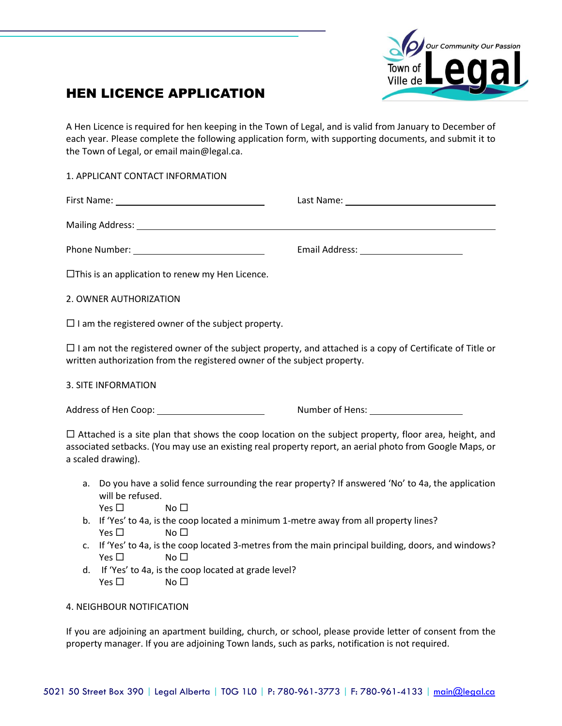

# HEN LICENCE APPLICATION

A Hen Licence is required for hen keeping in the Town of Legal, and is valid from January to December of each year. Please complete the following application form, with supporting documents, and submit it to the Town of Legal, or email main@legal.ca.

1. APPLICANT CONTACT INFORMATION

First Name: Last Name:

Mailing Address:

Phone Number: Email Address:

 $\Box$ This is an application to renew my Hen Licence.

2. OWNER AUTHORIZATION

 $\square$  I am the registered owner of the subject property.

 $\Box$  I am not the registered owner of the subject property, and attached is a copy of Certificate of Title or written authorization from the registered owner of the subject property.

3. SITE INFORMATION

Address of Hen Coop: Number of Hens: Number of Hens:

 $\Box$  Attached is a site plan that shows the coop location on the subject property, floor area, height, and associated setbacks. (You may use an existing real property report, an aerial photo from Google Maps, or a scaled drawing).

a. Do you have a solid fence surrounding the rear property? If answered 'No' to 4a, the application will be refused.

 $Yes \Box$  No  $\Box$ 

- b. If 'Yes' to 4a, is the coop located a minimum 1-metre away from all property lines?  $Yes \Box$  No  $\Box$
- c. If 'Yes' to 4a, is the coop located 3-metres from the main principal building, doors, and windows?  $Yes \Box$  No  $\Box$
- d. If 'Yes' to 4a, is the coop located at grade level?  $Yes \Box$   $No \Box$

# 4. NEIGHBOUR NOTIFICATION

If you are adjoining an apartment building, church, or school, please provide letter of consent from the property manager. If you are adjoining Town lands, such as parks, notification is not required.